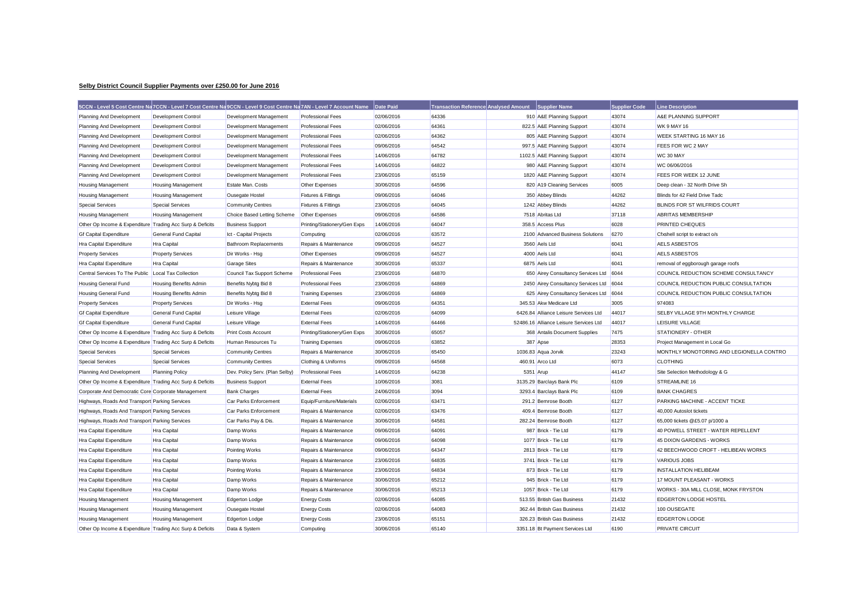## **Selby District Council Supplier Payments over £250.00 for June 2016**

|                                                           |                               | 5CCN - Level 5 Cost Centre Na 7CCN - Level 7 Cost Centre Na 9CCN - Level 9 Cost Centre Na 7AN - Level 7 Account Name |                              | Date Paid  | <b>Transaction Reference Analysed Amount</b> |           | <b>Supplier Name</b>                   | <b>Supplier Code</b> | <b>Line Description</b>                  |
|-----------------------------------------------------------|-------------------------------|----------------------------------------------------------------------------------------------------------------------|------------------------------|------------|----------------------------------------------|-----------|----------------------------------------|----------------------|------------------------------------------|
| Planning And Development                                  | Development Control           | Development Management                                                                                               | <b>Professional Fees</b>     | 02/06/2016 | 64336                                        |           | 910 A&E Planning Support               | 43074                | A&E PLANNING SUPPORT                     |
| Planning And Development                                  | Development Control           | Development Management                                                                                               | <b>Professional Fees</b>     | 02/06/2016 | 64361                                        |           | 822.5 A&E Planning Support             | 43074                | <b>WK 9 MAY 16</b>                       |
| Planning And Development                                  | <b>Development Control</b>    | Development Management                                                                                               | <b>Professional Fees</b>     | 02/06/2016 | 64362                                        |           | 805 A&E Planning Support               | 43074                | WEEK STARTING 16 MAY 16                  |
| Planning And Development                                  | <b>Development Control</b>    | Development Management                                                                                               | <b>Professional Fees</b>     | 09/06/2016 | 64542                                        |           | 997.5 A&E Planning Support             | 43074                | FEES FOR WC 2 MAY                        |
| Planning And Development                                  | Development Control           | Development Management                                                                                               | Professional Fees            | 14/06/2016 | 64782                                        |           | 1102.5 A&E Planning Support            | 43074                | WC 30 MAY                                |
| Planning And Development                                  | Development Control           | Development Management                                                                                               | <b>Professional Fees</b>     | 14/06/2016 | 64822                                        |           | 980 A&E Planning Support               | 43074                | WC 06/06/2016                            |
| Planning And Development                                  | Development Control           | Development Management                                                                                               | <b>Professional Fees</b>     | 23/06/2016 | 65159                                        |           | 1820 A&E Planning Support              | 43074                | FEES FOR WEEK 12 JUNE                    |
| Housing Management                                        | <b>Housing Management</b>     | Estate Man, Costs                                                                                                    | Other Expenses               | 30/06/2016 | 64596                                        |           | 820 A19 Cleaning Services              | 6005                 | Deep clean - 32 North Drive Sh           |
| Housing Management                                        | <b>Housing Management</b>     | <b>Ousegate Hostel</b>                                                                                               | Fixtures & Fittings          | 09/06/2016 | 64046                                        |           | 350 Abbey Blinds                       | 44262                | Blinds for 42 Field Drive Tadc           |
| Special Services                                          | <b>Special Services</b>       | <b>Community Centres</b>                                                                                             | Fixtures & Fittings          | 23/06/2016 | 64045                                        |           | 1242 Abbey Blinds                      | 44262                | BLINDS FOR ST WILFRIDS COURT             |
| <b>Housing Management</b>                                 | <b>Housing Management</b>     | Choice Based Letting Scheme                                                                                          | Other Expenses               | 09/06/2016 | 64586                                        |           | 7518 Abritas Ltd                       | 37118                | ABRITAS MEMBERSHIP                       |
| Other Op Income & Expenditure Trading Acc Surp & Deficits |                               | <b>Business Support</b>                                                                                              | Printing/Stationery/Gen Exps | 14/06/2016 | 64047                                        |           | 358.5 Access Plus                      | 6028                 | PRINTED CHEQUES                          |
| <b>Gf Capital Expenditure</b>                             | <b>General Fund Capital</b>   | Ict - Capital Projects                                                                                               | Computing                    | 02/06/2016 | 63572                                        |           | 2100 Advanced Business Solutions       | 6270                 | Cfxshell script to extract o/s           |
| Hra Capital Expenditure                                   | <b>Hra Capital</b>            | <b>Bathroom Replacements</b>                                                                                         | Repairs & Maintenance        | 09/06/2016 | 64527                                        |           | 3560 Aels Ltd                          | 6041                 | <b>AELS ASBESTOS</b>                     |
| <b>Property Services</b>                                  | <b>Property Services</b>      | Dir Works - Hsg                                                                                                      | Other Expenses               | 09/06/2016 | 64527                                        |           | 4000 Aels Ltd                          | 6041                 | AELS ASBESTOS                            |
| Hra Capital Expenditure                                   | <b>Hra Capital</b>            | Garage Sites                                                                                                         | Repairs & Maintenance        | 30/06/2016 | 65337                                        |           | 6875 Aels Ltd                          | 6041                 | removal of eggborough garage roofs       |
| Central Services To The Public                            | Local Tax Collection          | Council Tax Support Scheme                                                                                           | <b>Professional Fees</b>     | 23/06/2016 | 64870                                        |           | 650 Airey Consultancy Services Ltd     | 6044                 | COUNCIL REDUCTION SCHEME CONSULTANCY     |
| <b>Housing General Fund</b>                               | Housing Benefits Admin        | Benefits Nybtg Bid 8                                                                                                 | <b>Professional Fees</b>     | 23/06/2016 | 64869                                        |           | 2450 Airey Consultancy Services Ltd    | 6044                 | COUNCIL REDUCTION PUBLIC CONSULTATION    |
| Housing General Fund                                      | <b>Housing Benefits Admin</b> | Benefits Nybtg Bid 8                                                                                                 | <b>Training Expenses</b>     | 23/06/2016 | 64869                                        |           | 625 Airey Consultancy Services Ltd     | 6044                 | COUNCIL REDUCTION PUBLIC CONSULTATION    |
| <b>Property Services</b>                                  | <b>Property Services</b>      | Dir Works - Hsg                                                                                                      | <b>External Fees</b>         | 09/06/2016 | 64351                                        |           | 345.53 Akw Medicare Ltd                | 3005                 | 974083                                   |
| <b>Gf Capital Expenditure</b>                             | <b>General Fund Capital</b>   | Leisure Village                                                                                                      | <b>External Fees</b>         | 02/06/2016 | 64099                                        |           | 6426.84 Alliance Leisure Services Ltd  | 44017                | SELBY VILLAGE 9TH MONTHLY CHARGE         |
| <b>Gf Capital Expenditure</b>                             | <b>General Fund Capital</b>   | Leisure Village                                                                                                      | <b>External Fees</b>         | 14/06/2016 | 64466                                        |           | 52486.16 Alliance Leisure Services Ltd | 44017                | LEISURE VILLAGE                          |
| Other Op Income & Expenditure Trading Acc Surp & Deficits |                               | <b>Print Costs Account</b>                                                                                           | Printing/Stationery/Gen Exps | 30/06/2016 | 65057                                        |           | 368 Antalis Document Supplies          | 7475                 | <b>STATIONERY - OTHER</b>                |
| Other Op Income & Expenditure Trading Acc Surp & Deficits |                               | Human Resources Tu                                                                                                   | <b>Training Expenses</b>     | 09/06/2016 | 63852                                        |           | 387 Apse                               | 28353                | Project Management in Local Go           |
| <b>Special Services</b>                                   | <b>Special Services</b>       | <b>Community Centres</b>                                                                                             | Repairs & Maintenance        | 30/06/2016 | 65450                                        |           | 1036.83 Aqua Jorvik                    | 23243                | MONTHLY MONOTORING AND LEGIONELLA CONTRO |
| <b>Special Services</b>                                   | <b>Special Services</b>       | <b>Community Centres</b>                                                                                             | Clothing & Uniforms          | 09/06/2016 | 64568                                        |           | 460.91 Arco Ltd                        | 6073                 | <b>CLOTHING</b>                          |
| Planning And Development                                  | <b>Planning Policy</b>        | Dev. Policy Serv. (Plan Selby)                                                                                       | <b>Professional Fees</b>     | 14/06/2016 | 64238                                        | 5351 Arup |                                        | 44147                | Site Selection Methodology & G           |
| Other Op Income & Expenditure Trading Acc Surp & Deficits |                               | <b>Business Support</b>                                                                                              | <b>External Fees</b>         | 10/06/2016 | 3081                                         |           | 3135.29 Barclays Bank Plc              | 6109                 | <b>STREAMLINE 16</b>                     |
| Corporate And Democratic Core Corporate Management        |                               | <b>Bank Charges</b>                                                                                                  | <b>External Fees</b>         | 24/06/2016 | 3094                                         |           | 3293.4 Barclays Bank Plc               | 6109                 | <b>BANK CHAGRES</b>                      |
| Highways, Roads And Transport Parking Services            |                               | Car Parks Enforcement                                                                                                | Equip/Furniture/Materials    | 02/06/2016 | 63471                                        |           | 291.2 Bemrose Booth                    | 6127                 | PARKING MACHINE - ACCENT TICKE           |
| Highways, Roads And Transport Parking Services            |                               | Car Parks Enforcement                                                                                                | Repairs & Maintenance        | 02/06/2016 | 63476                                        |           | 409.4 Bemrose Booth                    | 6127                 | 40,000 Autoslot tickets                  |
| Highways, Roads And Transport Parking Services            |                               | Car Parks Pay & Dis.                                                                                                 | Repairs & Maintenance        | 30/06/2016 | 64581                                        |           | 282.24 Bemrose Booth                   | 6127                 | 65,000 tickets @£5.07 p/1000 a           |
| Hra Capital Expenditure                                   | <b>Hra Capital</b>            | Damp Works                                                                                                           | Repairs & Maintenance        | 09/06/2016 | 64091                                        |           | 987 Brick - Tie Ltd                    | 6179                 | 40 POWELL STREET - WATER REPELLENT       |
| Hra Capital Expenditure                                   | <b>Hra Capital</b>            | Damp Works                                                                                                           | Repairs & Maintenance        | 09/06/2016 | 64098                                        |           | 1077 Brick - Tie Ltd                   | 6179                 | 45 DIXON GARDENS - WORKS                 |
| Hra Capital Expenditure                                   | <b>Hra Capital</b>            | Pointing Works                                                                                                       | Repairs & Maintenance        | 09/06/2016 | 64347                                        |           | 2813 Brick - Tie Ltd                   | 6179                 | 42 BEECHWOOD CROFT - HELIBEAN WORKS      |
| Hra Capital Expenditure                                   | <b>Hra Capital</b>            | Damp Works                                                                                                           | Repairs & Maintenance        | 23/06/2016 | 64835                                        |           | 3741 Brick - Tie Ltd                   | 6179                 | <b>VARIOUS JOBS</b>                      |
| Hra Capital Expenditure                                   | Hra Capital                   | Pointing Works                                                                                                       | Repairs & Maintenance        | 23/06/2016 | 64834                                        |           | 873 Brick - Tie Ltd                    | 6179                 | <b>INSTALLATION HELIBEAM</b>             |
| Hra Capital Expenditure                                   | <b>Hra Capital</b>            | Damp Works                                                                                                           | Repairs & Maintenance        | 30/06/2016 | 65212                                        |           | 945 Brick - Tie Ltd                    | 6179                 | 17 MOUNT PLEASANT - WORKS                |
| Hra Capital Expenditure                                   | <b>Hra Capital</b>            | Damp Works                                                                                                           | Repairs & Maintenance        | 30/06/2016 | 65213                                        |           | 1057 Brick - Tie Ltd                   | 6179                 | WORKS - 30A MILL CLOSE, MONK FRYSTON     |
| <b>Housing Management</b>                                 | <b>Housing Management</b>     | <b>Edgerton Lodge</b>                                                                                                | <b>Energy Costs</b>          | 02/06/2016 | 64085                                        |           | 513.55 British Gas Business            | 21432                | <b>EDGERTON LODGE HOSTEL</b>             |
| Housing Management                                        | <b>Housing Management</b>     | Ousegate Hostel                                                                                                      | <b>Energy Costs</b>          | 02/06/2016 | 64083                                        |           | 362.44 British Gas Business            | 21432                | 100 OUSEGATE                             |
| Housing Management                                        | <b>Housing Management</b>     | Edgerton Lodge                                                                                                       | <b>Energy Costs</b>          | 23/06/2016 | 65151                                        |           | 326.23 British Gas Business            | 21432                | <b>EDGERTON LODGE</b>                    |
| Other Op Income & Expenditure Trading Acc Surp & Deficits |                               | Data & System                                                                                                        | Computing                    | 30/06/2016 | 65140                                        |           | 3351.18 Bt Payment Services Ltd        | 6190                 | PRIVATE CIRCUIT                          |
|                                                           |                               |                                                                                                                      |                              |            |                                              |           |                                        |                      |                                          |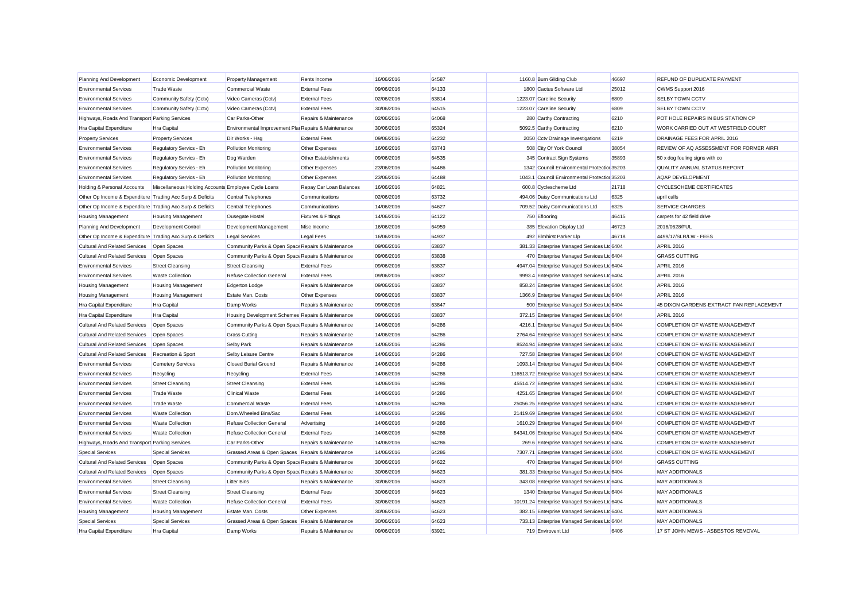| Planning And Development                                  | Economic Development                                | <b>Property Management</b>                           | Rents Income                   | 16/06/2016 | 64587 | 1160.8 Burn Gliding Club                       | 46697 | REFUND OF DUPLICATE PAYMENT              |
|-----------------------------------------------------------|-----------------------------------------------------|------------------------------------------------------|--------------------------------|------------|-------|------------------------------------------------|-------|------------------------------------------|
| <b>Environmental Services</b>                             | <b>Trade Waste</b>                                  | <b>Commercial Waste</b>                              | <b>External Fees</b>           | 09/06/2016 | 64133 | 1800 Cactus Software Ltd                       | 25012 | CWMS Support 2016                        |
| <b>Environmental Services</b>                             | Community Safety (Cctv)                             | Video Cameras (Cctv)                                 | <b>External Fees</b>           | 02/06/2016 | 63814 | 1223.07 Careline Security                      | 6809  | <b>SELBY TOWN CCTV</b>                   |
| <b>Environmental Services</b>                             | Community Safety (Cctv)                             | Video Cameras (Cctv)                                 | <b>External Fees</b>           | 30/06/2016 | 64515 | 1223.07 Careline Security                      | 6809  | <b>SELBY TOWN CCTV</b>                   |
| Highways, Roads And Transport Parking Services            |                                                     | Car Parks-Other                                      | Repairs & Maintenance          | 02/06/2016 | 64068 | 280 Carthy Contracting                         | 6210  | POT HOLE REPAIRS IN BUS STATION CP       |
| Hra Capital Expenditure                                   | <b>Hra Capital</b>                                  | Environmental Improvement Plai Repairs & Maintenance |                                | 30/06/2016 | 65324 | 5092.5 Carthy Contracting                      | 6210  | WORK CARRIED OUT AT WESTFIELD COURT      |
| <b>Property Services</b>                                  | <b>Property Services</b>                            | Dir Works - Hsg                                      | <b>External Fees</b>           | 09/06/2016 | 64232 | 2050 Cctv Drainage Investigations              | 6219  | DRAINAGE FEES FOR APRIL 2016             |
| <b>Environmental Services</b>                             | Regulatory Servics - Eh                             | <b>Pollution Monitoring</b>                          | Other Expenses                 | 16/06/2016 | 63743 | 508 City Of York Council                       | 38054 | REVIEW OF AQ ASSESSMENT FOR FORMER AIRFI |
| <b>Environmental Services</b>                             | Regulatory Servics - Eh                             | Dog Warden                                           | Other Establishments           | 09/06/2016 | 64535 | 345 Contract Sign Systems                      | 35893 | 50 x dog fouling signs with co           |
| <b>Environmental Services</b>                             | Regulatory Servics - Eh                             | <b>Pollution Monitoring</b>                          | Other Expenses                 | 23/06/2016 | 64486 | 1342 Council Environmental Protection 35203    |       | <b>QUALITY ANNUAL STATUS REPORT</b>      |
| <b>Environmental Services</b>                             | Regulatory Servics - Eh                             | <b>Pollution Monitoring</b>                          | Other Expenses                 | 23/06/2016 | 64488 | 1043.1 Council Environmental Protection 35203  |       | AQAP DEVELOPMENT                         |
| Holding & Personal Accounts                               | Miscellaneous Holding Accounts Employee Cycle Loans |                                                      | Repay Car Loan Balances        | 16/06/2016 | 64821 | 600.8 Cyclescheme Ltd                          | 21718 | <b>CYCLESCHEME CERTIFICATES</b>          |
| Other Op Income & Expenditure Trading Acc Surp & Deficits |                                                     | <b>Central Telephones</b>                            | Communications                 | 02/06/2016 | 63732 | 494.06 Daisy Communications Ltd                | 6325  | april calls                              |
| Other Op Income & Expenditure Trading Acc Surp & Deficits |                                                     | <b>Central Telephones</b>                            | Communications                 | 14/06/2016 | 64627 | 709.52 Daisy Communications Ltd                | 6325  | <b>SERVICE CHARGES</b>                   |
| <b>Housing Management</b>                                 | <b>Housing Management</b>                           | Ousegate Hostel                                      | <b>Fixtures &amp; Fittings</b> | 14/06/2016 | 64122 | 750 Eflooring                                  | 46415 | carpets for 42 field drive               |
| Planning And Development                                  | Development Control                                 | Development Management                               | Misc Income                    | 16/06/2016 | 64959 | 385 Elevation Display Ltd                      | 46723 | 2016/0628/FUL                            |
| Other Op Income & Expenditure Trading Acc Surp & Deficits |                                                     | <b>Legal Services</b>                                | Legal Fees                     | 16/06/2016 | 64937 | 492 Elmhirst Parker Llp                        | 46718 | 4499/17/SLR/LW - FEES                    |
| Cultural And Related Services                             | Open Spaces                                         | Community Parks & Open Space Repairs & Maintenance   |                                | 09/06/2016 | 63837 | 381.33 Enterprise Managed Services Ltd 6404    |       | APRIL 2016                               |
| <b>Cultural And Related Services</b>                      | Open Spaces                                         | Community Parks & Open Space Repairs & Maintenance   |                                | 09/06/2016 | 63838 | 470 Enterprise Managed Services Ltd 6404       |       | <b>GRASS CUTTING</b>                     |
| <b>Environmental Services</b>                             | <b>Street Cleansing</b>                             | <b>Street Cleansing</b>                              | <b>External Fees</b>           | 09/06/2016 | 63837 | 4947.04 Enterprise Managed Services Ltc 6404   |       | <b>APRIL 2016</b>                        |
| <b>Environmental Services</b>                             | <b>Waste Collection</b>                             | <b>Refuse Collection General</b>                     | <b>External Fees</b>           | 09/06/2016 | 63837 | 9993.4 Enterprise Managed Services Ltd 6404    |       | APRIL 2016                               |
| <b>Housing Management</b>                                 | <b>Housing Management</b>                           | <b>Edgerton Lodge</b>                                | Repairs & Maintenance          | 09/06/2016 | 63837 | 858.24 Enterprise Managed Services Ltd 6404    |       | <b>APRIL 2016</b>                        |
| <b>Housing Management</b>                                 | <b>Housing Management</b>                           | <b>Estate Man, Costs</b>                             | Other Expenses                 | 09/06/2016 | 63837 | 1366.9 Enterprise Managed Services Ltd 6404    |       | APRIL 2016                               |
| Hra Capital Expenditure                                   | Hra Capital                                         | Damp Works                                           | Repairs & Maintenance          | 09/06/2016 | 63847 | 500 Enterprise Managed Services Ltd 6404       |       | 45 DIXON GARDENS-EXTRACT FAN REPLACEMENT |
| Hra Capital Expenditure                                   | <b>Hra Capital</b>                                  | Housing Development Schemes Repairs & Maintenance    |                                | 09/06/2016 | 63837 | 372.15 Enterprise Managed Services Ltd 6404    |       | APRIL 2016                               |
| <b>Cultural And Related Services</b>                      | Open Spaces                                         | Community Parks & Open Space Repairs & Maintenance   |                                | 14/06/2016 | 64286 | 4216.1 Enterprise Managed Services Ltd 6404    |       | COMPLETION OF WASTE MANAGEMENT           |
| Cultural And Related Services                             | Open Spaces                                         | <b>Grass Cutting</b>                                 | Repairs & Maintenance          | 14/06/2016 | 64286 | 2764.64 Enterprise Managed Services Ltc 6404   |       | COMPLETION OF WASTE MANAGEMENT           |
| <b>Cultural And Related Services</b>                      | Open Spaces                                         | <b>Selby Park</b>                                    | Repairs & Maintenance          | 14/06/2016 | 64286 | 8524.94 Enterprise Managed Services Ltd 6404   |       | COMPLETION OF WASTE MANAGEMENT           |
| <b>Cultural And Related Services</b>                      | Recreation & Sport                                  | Selby Leisure Centre                                 | Repairs & Maintenance          | 14/06/2016 | 64286 | 727.58 Enterprise Managed Services Ltd 6404    |       | <b>COMPLETION OF WASTE MANAGEMENT</b>    |
| <b>Environmental Services</b>                             | <b>Cemetery Services</b>                            | <b>Closed Burial Ground</b>                          | Repairs & Maintenance          | 14/06/2016 | 64286 | 1093.14 Enterprise Managed Services Ltc 6404   |       | COMPLETION OF WASTE MANAGEMENT           |
| <b>Environmental Services</b>                             | Recycling                                           | Recycling                                            | <b>External Fees</b>           | 14/06/2016 | 64286 | 116513.72 Enterprise Managed Services Ltd 6404 |       | COMPLETION OF WASTE MANAGEMENT           |
| <b>Environmental Services</b>                             | <b>Street Cleansing</b>                             | <b>Street Cleansing</b>                              | <b>External Fees</b>           | 14/06/2016 | 64286 | 45514.72 Enterprise Managed Services Ltd 6404  |       | COMPLETION OF WASTE MANAGEMENT           |
| <b>Environmental Services</b>                             | <b>Trade Waste</b>                                  | <b>Clinical Waste</b>                                | <b>External Fees</b>           | 14/06/2016 | 64286 | 4251.65 Enterprise Managed Services Ltd 6404   |       | COMPLETION OF WASTE MANAGEMENT           |
| <b>Environmental Services</b>                             | <b>Trade Waste</b>                                  | <b>Commercial Waste</b>                              | <b>External Fees</b>           | 14/06/2016 | 64286 | 25056.25 Enterprise Managed Services Ltd 6404  |       | <b>COMPLETION OF WASTE MANAGEMENT</b>    |
| <b>Environmental Services</b>                             | <b>Waste Collection</b>                             | Dom.Wheeled Bins/Sac                                 | <b>External Fees</b>           | 14/06/2016 | 64286 | 21419.69 Enterprise Managed Services Ltd 6404  |       | COMPLETION OF WASTE MANAGEMENT           |
| <b>Environmental Services</b>                             | <b>Waste Collection</b>                             | <b>Refuse Collection General</b>                     | Advertising                    | 14/06/2016 | 64286 | 1610.29 Enterprise Managed Services Ltc 6404   |       | COMPLETION OF WASTE MANAGEMENT           |
| <b>Environmental Services</b>                             | <b>Waste Collection</b>                             | <b>Refuse Collection General</b>                     | <b>External Fees</b>           | 14/06/2016 | 64286 | 84341.06 Enterprise Managed Services Ltd 6404  |       | COMPLETION OF WASTE MANAGEMENT           |
| Highways, Roads And Transport Parking Services            |                                                     | Car Parks-Other                                      | Repairs & Maintenance          | 14/06/2016 | 64286 | 269.6 Enterprise Managed Services Ltd 6404     |       | COMPLETION OF WASTE MANAGEMENT           |
| <b>Special Services</b>                                   | <b>Special Services</b>                             | Grassed Areas & Open Spaces Repairs & Maintenance    |                                | 14/06/2016 | 64286 | 7307.71 Enterprise Managed Services Ltd 6404   |       | COMPLETION OF WASTE MANAGEMENT           |
| <b>Cultural And Related Services</b>                      | Open Spaces                                         | Community Parks & Open Space Repairs & Maintenance   |                                | 30/06/2016 | 64622 | 470 Enterprise Managed Services Ltd 6404       |       | <b>GRASS CUTTING</b>                     |
| Cultural And Related Services                             | Open Spaces                                         | Community Parks & Open Space Repairs & Maintenance   |                                | 30/06/2016 | 64623 | 381.33 Enterprise Managed Services Ltd 6404    |       | <b>MAY ADDITIONALS</b>                   |
| <b>Environmental Services</b>                             | <b>Street Cleansing</b>                             | <b>Litter Bins</b>                                   | Repairs & Maintenance          | 30/06/2016 | 64623 | 343.08 Enterprise Managed Services Ltd 6404    |       | <b>MAY ADDITIONALS</b>                   |
| <b>Environmental Services</b>                             | <b>Street Cleansing</b>                             | <b>Street Cleansing</b>                              | <b>External Fees</b>           | 30/06/2016 | 64623 | 1340 Enterprise Managed Services Ltd 6404      |       | <b>MAY ADDITIONALS</b>                   |
| <b>Environmental Services</b>                             | <b>Waste Collection</b>                             | <b>Refuse Collection General</b>                     | <b>External Fees</b>           | 30/06/2016 | 64623 | 10191.24 Enterprise Managed Services Ltc 6404  |       | <b>MAY ADDITIONALS</b>                   |
| <b>Housing Management</b>                                 | <b>Housing Management</b>                           | <b>Estate Man, Costs</b>                             | Other Expenses                 | 30/06/2016 | 64623 | 382.15 Enterprise Managed Services Ltd 6404    |       | <b>MAY ADDITIONALS</b>                   |
| <b>Special Services</b>                                   | Special Services                                    | Grassed Areas & Open Spaces Repairs & Maintenance    |                                | 30/06/2016 | 64623 | 733.13 Enterprise Managed Services Ltd 6404    |       | <b>MAY ADDITIONALS</b>                   |
| <b>Hra Capital Expenditure</b>                            | <b>Hra Capital</b>                                  | Damp Works                                           | Repairs & Maintenance          | 09/06/2016 | 63921 | 719 Envirovent Ltd                             | 6406  | 17 ST JOHN MEWS - ASBESTOS REMOVAL       |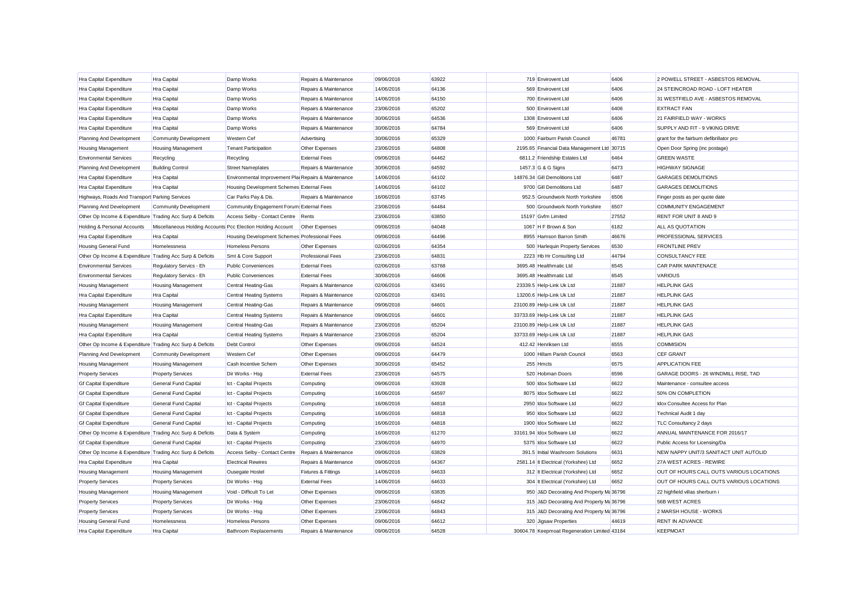| Hra Capital Expenditure                                   | <b>Hra Capital</b>                                          | Damp Works                                           | Repairs & Maintenance    | 09/06/2016 | 63922 | 719 Envirovent Ltd                           | 6406  | 2 POWELL STREET - ASBESTOS REMOVAL       |
|-----------------------------------------------------------|-------------------------------------------------------------|------------------------------------------------------|--------------------------|------------|-------|----------------------------------------------|-------|------------------------------------------|
| Hra Capital Expenditure                                   | Hra Capital                                                 | Damp Works                                           | Repairs & Maintenance    | 14/06/2016 | 64136 | 569 Envirovent Ltd                           | 6406  | 24 STEINCROAD ROAD - LOFT HEATER         |
| Hra Capital Expenditure                                   | <b>Hra Capital</b>                                          | Damp Works                                           | Repairs & Maintenance    | 14/06/2016 | 64150 | 700 Envirovent Ltd                           | 6406  | 31 WESTFIELD AVE - ASBESTOS REMOVAL      |
| Hra Capital Expenditure                                   | Hra Capital                                                 | Damp Works                                           | Repairs & Maintenance    | 23/06/2016 | 65202 | 500 Envirovent Ltd                           | 6406  | <b>EXTRACT FAN</b>                       |
| Hra Capital Expenditure                                   | Hra Capital                                                 | Damp Works                                           | Repairs & Maintenance    | 30/06/2016 | 64536 | 1308 Envirovent Ltd                          | 6406  | 21 FAIRFIELD WAY - WORKS                 |
| Hra Capital Expenditure                                   | <b>Hra Capital</b>                                          | Damp Works                                           | Repairs & Maintenance    | 30/06/2016 | 64784 | 569 Envirovent Ltd                           | 6406  | SUPPLY AND FIT - 9 VIKING DRIVE          |
| Planning And Development                                  | Community Development                                       | <b>Western Cef</b>                                   | Advertising              | 30/06/2016 | 65329 | 1000 Fairburn Parish Council                 | 46781 | grant for the fairburn defibrillator pro |
| Housing Management                                        | <b>Housing Management</b>                                   | <b>Tenant Participation</b>                          | Other Expenses           | 23/06/2016 | 64808 | 2195.65 Financial Data Management Ltd 30715  |       | Open Door Spring (inc postage)           |
| <b>Environmental Services</b>                             | Recycling                                                   | Recycling                                            | <b>External Fees</b>     | 09/06/2016 | 64462 | 6811.2 Friendship Estates Ltd                | 6464  | <b>GREEN WASTE</b>                       |
| Planning And Development                                  | <b>Building Control</b>                                     | <b>Street Nameplates</b>                             | Repairs & Maintenance    | 30/06/2016 | 64592 | 1457.3 G & G Signs                           | 6473  | <b>HIGHWAY SIGNAGE</b>                   |
| Hra Capital Expenditure                                   | <b>Hra Capital</b>                                          | Environmental Improvement Plai Repairs & Maintenance |                          | 14/06/2016 | 64102 | 14876.34 Gill Demolitions Ltd                | 6487  | <b>GARAGES DEMOLITIONS</b>               |
| Hra Capital Expenditure                                   | Hra Capital                                                 | Housing Development Schemes External Fees            |                          | 14/06/2016 | 64102 | 9700 Gill Demolitions Ltd                    | 6487  | <b>GARAGES DEMOLITIONS</b>               |
| Highways, Roads And Transport Parking Services            |                                                             | Car Parks Pay & Dis.                                 | Repairs & Maintenance    | 16/06/2016 | 63745 | 952.5 Groundwork North Yorkshire             | 6506  | Finger posts as per quote date           |
| Planning And Development                                  | <b>Community Development</b>                                | Community Engagement Forum: External Fees            |                          | 23/06/2016 | 64484 | 500 Groundwork North Yorkshire               | 6507  | <b>COMMUNITY ENGAGEMENT</b>              |
| Other Op Income & Expenditure Trading Acc Surp & Deficits |                                                             | Access Selby - Contact Centre Rents                  |                          | 23/06/2016 | 63850 | 15197 Gvfm Limited                           | 27552 | RENT FOR UNIT 8 AND 9                    |
| Holding & Personal Accounts                               | Miscellaneous Holding Accounts Pcc Election Holding Account |                                                      | Other Expenses           | 09/06/2016 | 64048 | 1067 H F Brown & Son                         | 6182  | ALL AS QUOTATION                         |
| Hra Capital Expenditure                                   | <b>Hra Capital</b>                                          | Housing Development Schemes Professional Fees        |                          | 09/06/2016 | 64496 | 8955 Hamson Barron Smith                     | 46676 | PROFESSIONAL SERVICES                    |
| Housing General Fund                                      | Homelessness                                                | <b>Homeless Persons</b>                              | Other Expenses           | 02/06/2016 | 64354 | 500 Harlequin Property Services              | 6530  | <b>FRONTLINE PREV</b>                    |
| Other Op Income & Expenditure Trading Acc Surp & Deficits |                                                             | Smt & Core Support                                   | <b>Professional Fees</b> | 23/06/2016 | 64831 | 2223 Hb Hr Consulting Ltd                    | 44794 | <b>CONSULTANCY FEE</b>                   |
| <b>Environmental Services</b>                             | Regulatory Servics - Eh                                     | <b>Public Conveniences</b>                           | <b>External Fees</b>     | 02/06/2016 | 63768 | 3695.48 Healthmatic Ltd                      | 6545  | <b>CAR PARK MAINTENACE</b>               |
| <b>Environmental Services</b>                             | Regulatory Servics - Eh                                     | <b>Public Conveniences</b>                           | <b>External Fees</b>     | 30/06/2016 | 64606 | 3695.48 Healthmatic Ltd                      | 6545  | <b>VARIOUS</b>                           |
| Housing Management                                        | <b>Housing Management</b>                                   | Central Heating-Gas                                  | Repairs & Maintenance    | 02/06/2016 | 63491 | 23339.5 Help-Link Uk Ltd                     | 21887 | <b>HELPLINK GAS</b>                      |
| Hra Capital Expenditure                                   | <b>Hra Capital</b>                                          | <b>Central Heating Systems</b>                       | Repairs & Maintenance    | 02/06/2016 | 63491 | 13200.6 Help-Link Uk Ltd                     | 21887 | <b>HELPLINK GAS</b>                      |
| <b>Housing Management</b>                                 | <b>Housing Management</b>                                   | Central Heating-Gas                                  | Repairs & Maintenance    | 09/06/2016 | 64601 | 23100.89 Help-Link Uk Ltd                    | 21887 | <b>HELPLINK GAS</b>                      |
| Hra Capital Expenditure                                   | <b>Hra Capital</b>                                          | Central Heating Systems                              | Repairs & Maintenance    | 09/06/2016 | 64601 | 33733.69 Help-Link Uk Ltd                    | 21887 | <b>HELPLINK GAS</b>                      |
| <b>Housing Management</b>                                 | <b>Housing Management</b>                                   | Central Heating-Gas                                  | Repairs & Maintenance    | 23/06/2016 | 65204 | 23100.89 Help-Link Uk Ltd                    | 21887 | <b>HELPLINK GAS</b>                      |
| Hra Capital Expenditure                                   | <b>Hra Capital</b>                                          | <b>Central Heating Systems</b>                       | Repairs & Maintenance    | 23/06/2016 | 65204 | 33733.69 Help-Link Uk Ltd                    | 21887 | <b>HELPLINK GAS</b>                      |
| Other Op Income & Expenditure Trading Acc Surp & Deficits |                                                             | Debt Control                                         | Other Expenses           | 09/06/2016 | 64524 | 412.42 Henriksen Ltd                         | 6555  | <b>COMMISION</b>                         |
| Planning And Development                                  | <b>Community Development</b>                                | <b>Western Cef</b>                                   | Other Expenses           | 09/06/2016 | 64479 | 1000 Hillam Parish Council                   | 6563  | <b>CEF GRANT</b>                         |
| Housing Management                                        | <b>Housing Management</b>                                   | Cash Incentive Schem                                 | Other Expenses           | 30/06/2016 | 65452 | 255 Hmcts                                    | 6575  | <b>APPLICATION FEE</b>                   |
| <b>Property Services</b>                                  | <b>Property Services</b>                                    | Dir Works - Hsg                                      | <b>External Fees</b>     | 23/06/2016 | 64575 | 520 Hobman Doors                             | 6596  | GARAGE DOORS - 26 WINDMILL RISE, TAD     |
| <b>Gf Capital Expenditure</b>                             | General Fund Capital                                        | Ict - Capital Projects                               | Computing                | 09/06/2016 | 63928 | 500 Idox Software Ltd                        | 6622  | Maintenance - consultee access           |
| <b>Gf Capital Expenditure</b>                             | General Fund Capital                                        | Ict - Capital Projects                               | Computing                | 16/06/2016 | 64597 | 8075 Idox Software Ltd                       | 6622  | 50% ON COMPLETION                        |
| <b>Gf Capital Expenditure</b>                             | General Fund Capital                                        | Ict - Capital Projects                               | Computing                | 16/06/2016 | 64818 | 2950 Idox Software Ltd                       | 6622  | Idox Consultee Access for Plan           |
| <b>Gf Capital Expenditure</b>                             | General Fund Capital                                        | Ict - Capital Projects                               | Computing                | 16/06/2016 | 64818 | 950 Idox Software Ltd                        | 6622  | Technical Audit 1 day                    |
| <b>Gf Capital Expenditure</b>                             | <b>General Fund Capital</b>                                 | Ict - Capital Projects                               | Computing                | 16/06/2016 | 64818 | 1900 Idox Software Ltd                       | 6622  | TLC Consultancy 2 days                   |
| Other Op Income & Expenditure Trading Acc Surp & Deficits |                                                             | Data & System                                        | Computing                | 16/06/2016 | 61270 | 33161.94 Idox Software Ltd                   | 6622  | ANNUAL MAINTENANCE FOR 2016/17           |
| <b>Gf Capital Expenditure</b>                             | General Fund Capital                                        | Ict - Capital Projects                               | Computing                | 23/06/2016 | 64970 | 5375 Idox Software Ltd                       | 6622  | Public Access for Licensing/Da           |
| Other Op Income & Expenditure Trading Acc Surp & Deficits |                                                             | Access Selby - Contact Centre Repairs & Maintenance  |                          | 09/06/2016 | 63829 | 391.5 Initial Washroom Solutions             | 6631  | NEW NAPPY UNIT/3 SANITACT UNIT AUTOLID   |
| Hra Capital Expenditure                                   | <b>Hra Capital</b>                                          | <b>Electrical Rewires</b>                            | Repairs & Maintenance    | 09/06/2016 | 64367 | 2581.14 It Electrical (Yorkshire) Ltd        | 6652  | 27A WEST ACRES - REWIRE                  |
| Housing Management                                        | <b>Housing Management</b>                                   | Ousegate Hostel                                      | Fixtures & Fittings      | 14/06/2016 | 64633 | 312 It Electrical (Yorkshire) Ltd            | 6652  | OUT OF HOURS CALL OUTS VARIOUS LOCATIONS |
| <b>Property Services</b>                                  | <b>Property Services</b>                                    | Dir Works - Hsg                                      | <b>External Fees</b>     | 14/06/2016 | 64633 | 304 It Electrical (Yorkshire) Ltd            | 6652  | OUT OF HOURS CALL OUTS VARIOUS LOCATIONS |
| <b>Housing Management</b>                                 | <b>Housing Management</b>                                   | Void - Difficult To Let                              | Other Expenses           | 09/06/2016 | 63835 | 950 J&D Decorating And Property Ma 36796     |       | 22 highfield villas sherburn i           |
| <b>Property Services</b>                                  | <b>Property Services</b>                                    | Dir Works - Hsg                                      | Other Expenses           | 23/06/2016 | 64842 | 315 J&D Decorating And Property Ma 36796     |       | 56B WEST ACRES                           |
| <b>Property Services</b>                                  | <b>Property Services</b>                                    | Dir Works - Hsg                                      | Other Expenses           | 23/06/2016 | 64843 | 315 J&D Decorating And Property Ma 36796     |       | 2 MARSH HOUSE - WORKS                    |
| <b>Housing General Fund</b>                               | Homelessness                                                | <b>Homeless Persons</b>                              | Other Expenses           | 09/06/2016 | 64612 | 320 Jiasaw Properties                        | 44619 | <b>RENT IN ADVANCE</b>                   |
| <b>Hra Capital Expenditure</b>                            | <b>Hra Capital</b>                                          | Bathroom Replacements                                | Repairs & Maintenance    | 09/06/2016 | 64528 | 30604.78 Keepmoat Regeneration Limited 43184 |       | <b>KEEPMOAT</b>                          |
|                                                           |                                                             |                                                      |                          |            |       |                                              |       |                                          |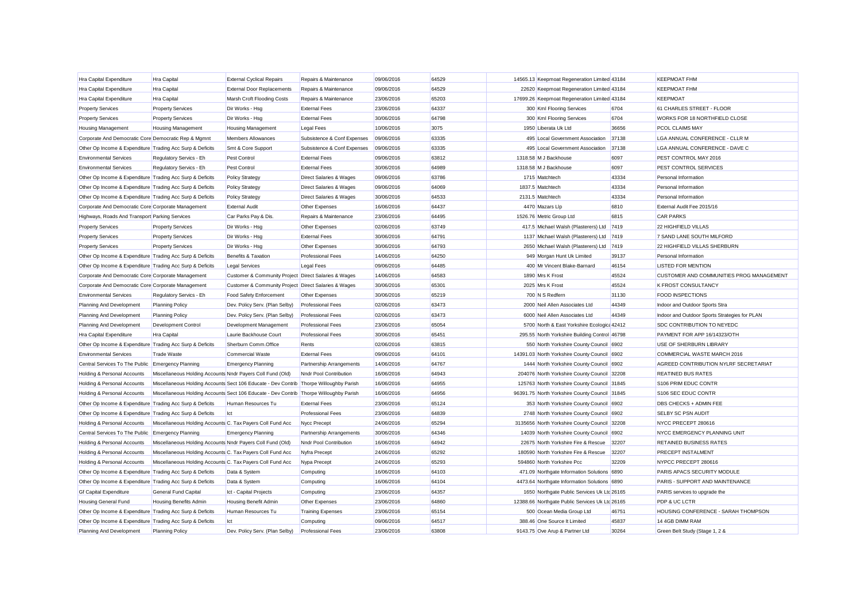| <b>Hra Capital Expenditure</b>                            | <b>Hra Capital</b>                                                                     | <b>External Cyclical Repairs</b>                     | Repairs & Maintenance              | 09/06/2016 | 64529 | 14565.13 Keepmoat Regeneration Limited 43184    |       | <b>KEEPMOAT FHM</b>                           |
|-----------------------------------------------------------|----------------------------------------------------------------------------------------|------------------------------------------------------|------------------------------------|------------|-------|-------------------------------------------------|-------|-----------------------------------------------|
| Hra Capital Expenditure                                   | <b>Hra Capital</b>                                                                     | <b>External Door Replacements</b>                    | Repairs & Maintenance              | 09/06/2016 | 64529 | 22620 Keepmoat Regeneration Limited 43184       |       | <b>KEEPMOAT FHM</b>                           |
| <b>Hra Capital Expenditure</b>                            | <b>Hra Capital</b>                                                                     | Marsh Croft Flooding Costs                           | Repairs & Maintenance              | 23/06/2016 | 65203 | 17699.26 Keepmoat Regeneration Limited 43184    |       | <b>KEEPMOAT</b>                               |
| <b>Property Services</b>                                  | <b>Property Services</b>                                                               | Dir Works - Hsg                                      | <b>External Fees</b>               | 23/06/2016 | 64337 | 300 Kml Flooring Services                       | 6704  | 61 CHARLES STREET - FLOOR                     |
| <b>Property Services</b>                                  | <b>Property Services</b>                                                               | Dir Works - Hsg                                      | <b>External Fees</b>               | 30/06/2016 | 64798 | 300 Kml Flooring Services                       | 6704  | WORKS FOR 18 NORTHFIELD CLOSE                 |
| <b>Housing Management</b>                                 | <b>Housing Management</b>                                                              | <b>Housing Management</b>                            | <b>Legal Fees</b>                  | 10/06/2016 | 3075  | 1950 Liberata Uk Ltd                            | 36656 | PCOL CLAIMS MAY                               |
| Corporate And Democratic Core Democratic Rep & Mgmnt      |                                                                                        | <b>Members Allowances</b>                            | Subsistence & Conf Expenses        | 09/06/2016 | 63335 | 495 Local Government Association                | 37138 | LGA ANNUAL CONFERENCE - CLLR M                |
| Other Op Income & Expenditure Trading Acc Surp & Deficits |                                                                                        | Smt & Core Support                                   | Subsistence & Conf Expenses        | 09/06/2016 | 63335 | 495 Local Government Association                | 37138 | LGA ANNUAL CONFERENCE - DAVE C                |
| <b>Environmental Services</b>                             | Regulatory Servics - Eh                                                                | <b>Pest Control</b>                                  | <b>External Fees</b>               | 09/06/2016 | 63812 | 1318.58 M J Backhouse                           | 6097  | PEST CONTROL MAY 2016                         |
| <b>Environmental Services</b>                             | Regulatory Servics - Eh                                                                | Pest Control                                         | <b>External Fees</b>               | 30/06/2016 | 64989 | 1318.58 M J Backhouse                           | 6097  | PEST CONTROL SERVICES                         |
| Other Op Income & Expenditure Trading Acc Surp & Deficits |                                                                                        | <b>Policy Strategy</b>                               | <b>Direct Salaries &amp; Wages</b> | 09/06/2016 | 63786 | 1715 Matchtech                                  | 43334 | Personal Information                          |
| Other Op Income & Expenditure Trading Acc Surp & Deficits |                                                                                        | <b>Policy Strategy</b>                               | Direct Salaries & Wages            | 09/06/2016 | 64069 | 1837.5 Matchtech                                | 43334 | Personal Information                          |
| Other Op Income & Expenditure Trading Acc Surp & Deficits |                                                                                        | <b>Policy Strategy</b>                               | Direct Salaries & Wages            | 30/06/2016 | 64533 | 2131.5 Matchtech                                | 43334 | Personal Information                          |
| Corporate And Democratic Core Corporate Management        |                                                                                        | <b>External Audit</b>                                | Other Expenses                     | 16/06/2016 | 64437 | 4470 Mazars Llp                                 | 6810  | External Audit Fee 2015/16                    |
| Highways, Roads And Transport Parking Services            |                                                                                        | Car Parks Pay & Dis.                                 | Repairs & Maintenance              | 23/06/2016 | 64495 | 1526.76 Metric Group Ltd                        | 6815  | <b>CAR PARKS</b>                              |
| <b>Property Services</b>                                  | <b>Property Services</b>                                                               | Dir Works - Hsg                                      | Other Expenses                     | 02/06/2016 | 63749 | 417.5 Michael Walsh (Plasterers) Ltd            | 7419  | <b>22 HIGHFIELD VILLAS</b>                    |
| <b>Property Services</b>                                  | <b>Property Services</b>                                                               | Dir Works - Hsa                                      | <b>External Fees</b>               | 30/06/2016 | 64791 | 1137 Michael Walsh (Plasterers) Ltd             | 7419  | 7 SAND LANE SOUTH MILFORD                     |
| <b>Property Services</b>                                  | <b>Property Services</b>                                                               | Dir Works - Hsg                                      | Other Expenses                     | 30/06/2016 | 64793 | 2650 Michael Walsh (Plasterers) Ltd 7419        |       | 22 HIGHFIELD VILLAS SHERBURN                  |
| Other Op Income & Expenditure Trading Acc Surp & Deficits |                                                                                        | Benefits & Taxation                                  | <b>Professional Fees</b>           | 14/06/2016 | 64250 | 949 Morgan Hunt Uk Limited                      | 39137 | Personal Information                          |
| Other Op Income & Expenditure Trading Acc Surp & Deficits |                                                                                        | <b>Legal Services</b>                                | <b>Legal Fees</b>                  | 09/06/2016 | 64485 | 400 Mr Vincent Blake-Barnard                    | 46154 | <b>LISTED FOR MENTION</b>                     |
| Corporate And Democratic Core Corporate Management        |                                                                                        | Customer & Community Project Direct Salaries & Wages |                                    | 14/06/2016 | 64583 | 1890 Mrs K Frost                                | 45524 | CUSTOMER AND COMMUNITIES PROG MANAGEMENT      |
| Corporate And Democratic Core Corporate Management        |                                                                                        | Customer & Community Project Direct Salaries & Wages |                                    | 30/06/2016 | 65301 | 2025 Mrs K Frost                                | 45524 | <b>K FROST CONSULTANCY</b>                    |
| <b>Environmental Services</b>                             | Regulatory Servics - Eh                                                                | <b>Food Safety Enforcement</b>                       | Other Expenses                     | 30/06/2016 | 65219 | 700 N S Redfern                                 | 31130 | <b>FOOD INSPECTIONS</b>                       |
| Planning And Development                                  | <b>Planning Policy</b>                                                                 | Dev. Policy Serv. (Plan Selby)                       | <b>Professional Fees</b>           | 02/06/2016 | 63473 | 2000 Neil Allen Associates Ltd                  | 44349 | Indoor and Outdoor Sports Stra                |
| Planning And Development                                  | <b>Planning Policy</b>                                                                 | Dev. Policy Serv. (Plan Selby)                       | <b>Professional Fees</b>           | 02/06/2016 | 63473 | 6000 Neil Allen Associates Ltd                  | 44349 | Indoor and Outdoor Sports Strategies for PLAN |
| Planning And Development                                  | Development Control                                                                    | Development Management                               | <b>Professional Fees</b>           | 23/06/2016 | 65054 | 5700 North & East Yorkshire Ecologic: 42412     |       | SDC CONTRIBUTION TO NEYEDC                    |
| Hra Capital Expenditure                                   | <b>Hra Capital</b>                                                                     | Laurie Backhouse Court                               | <b>Professional Fees</b>           | 30/06/2016 | 65451 | 295.55 North Yorkshire Building Control 46798   |       | PAYMENT FOR APP 16/14323/OTH                  |
| Other Op Income & Expenditure Trading Acc Surp & Deficits |                                                                                        | Sherburn Comm.Office                                 | Rents                              | 02/06/2016 | 63815 | 550 North Yorkshire County Council 6902         |       | USE OF SHERBURN LIBRARY                       |
| <b>Environmental Services</b>                             | Trade Waste                                                                            | <b>Commercial Waste</b>                              | <b>External Fees</b>               | 09/06/2016 | 64101 | 14391.03 North Yorkshire County Council 6902    |       | COMMERCIAL WASTE MARCH 2016                   |
| Central Services To The Public Emergency Planning         |                                                                                        | <b>Emergency Planning</b>                            | Partnership Arrangements           | 14/06/2016 | 64767 | 1444 North Yorkshire County Council 6902        |       | AGREED CONTRIBUTION NYLRF SECRETARIAT         |
| Holding & Personal Accounts                               | Miscellaneous Holding Accounts Nndr Payers Coll Fund (Old)                             |                                                      | Nndr Pool Contribution             | 16/06/2016 | 64943 | 204076 North Yorkshire County Council 32208     |       | <b>REATINED BUS RATES</b>                     |
| Holding & Personal Accounts                               | Miscellaneous Holding Accounts Sect 106 Educate - Dev Contrib Thorpe Willoughby Parish |                                                      |                                    | 16/06/2016 | 64955 | 125763 North Yorkshire County Council 31845     |       | S106 PRIM EDUC CONTR                          |
| Holding & Personal Accounts                               | Miscellaneous Holding Accounts Sect 106 Educate - Dev Contrib Thorpe Willoughby Parish |                                                      |                                    | 16/06/2016 | 64956 | 96391.75 North Yorkshire County Council 31845   |       | S106 SEC EDUC CONTR                           |
| Other Op Income & Expenditure Trading Acc Surp & Deficits |                                                                                        | Human Resources Tu                                   | <b>External Fees</b>               | 23/06/2016 | 65124 | 353 North Yorkshire County Council 6902         |       | DBS CHECKS + ADMIN FEE                        |
| Other Op Income & Expenditure Trading Acc Surp & Deficits |                                                                                        | Ict                                                  | <b>Professional Fees</b>           | 23/06/2016 | 64839 | 2748 North Yorkshire County Council 6902        |       | <b>SELBY SC PSN AUDIT</b>                     |
| Holding & Personal Accounts                               | Miscellaneous Holding Accounts C. Tax Payers Coll Fund Acc                             |                                                      | Nycc Precept                       | 24/06/2016 | 65294 | 3135656 North Yorkshire County Council 32208    |       | NYCC PRECEPT 280616                           |
| Central Services To The Public Emergency Planning         |                                                                                        | <b>Emergency Planning</b>                            | Partnership Arrangements           | 30/06/2016 | 64346 | 14039 North Yorkshire County Council 6902       |       | NYCC EMERGENCY PLANNING UNIT                  |
| Holding & Personal Accounts                               | Miscellaneous Holding Accounts Nndr Payers Coll Fund (Old)                             |                                                      | Nndr Pool Contribution             | 16/06/2016 | 64942 | 22675 North Yorkshire Fire & Rescue             | 32207 | RETAINED BUSINESS RATES                       |
| Holding & Personal Accounts                               | Miscellaneous Holding Accounts C. Tax Payers Coll Fund Acc                             |                                                      | Nyfra Precept                      | 24/06/2016 | 65292 | 180590 North Yorkshire Fire & Rescue            | 32207 | PRECEPT INSTALMENT                            |
| Holding & Personal Accounts                               | Miscellaneous Holding Accounts C. Tax Payers Coll Fund Acc                             |                                                      | Nypa Precept                       | 24/06/2016 | 65293 | 594860 North Yorkshire Pcc                      | 32209 | NYPCC PRECEPT 280616                          |
| Other Op Income & Expenditure Trading Acc Surp & Deficits |                                                                                        | Data & System                                        | Computing                          | 16/06/2016 | 64103 | 471.09 Northgate Information Solutions 6890     |       | PARIS APACS SECURITY MODULE                   |
| Other Op Income & Expenditure Trading Acc Surp & Deficits |                                                                                        | Data & System                                        | Computing                          | 16/06/2016 | 64104 | 4473.64 Northgate Information Solutions 6890    |       | PARIS - SUPPORT AND MAINTENANCE               |
| <b>Gf Capital Expenditure</b>                             | General Fund Capital                                                                   | Ict - Capital Projects                               | Computing                          | 23/06/2016 | 64357 | 1650 Northgate Public Services Uk Ltd 26165     |       | PARIS services to upgrade the                 |
| <b>Housing General Fund</b>                               | <b>Housing Benefits Admin</b>                                                          | <b>Housing Benefit Admin</b>                         | Other Expenses                     | 23/06/2016 | 64860 | 12388.66 Northgate Public Services Uk Ltd 26165 |       | PDP & UC LCTR                                 |
| Other Op Income & Expenditure Trading Acc Surp & Deficits |                                                                                        | Human Resources Tu                                   | <b>Training Expenses</b>           | 23/06/2016 | 65154 | 500 Ocean Media Group Ltd                       | 46751 | HOUSING CONFERENCE - SARAH THOMPSON           |
| Other Op Income & Expenditure Trading Acc Surp & Deficits |                                                                                        | Ict                                                  | Computing                          | 09/06/2016 | 64517 | 388.46 One Source It Limited                    | 45837 | 14 4GB DIMM RAM                               |
| Planning And Development                                  | Planning Policy                                                                        | Dev. Policy Serv. (Plan Selby)                       | <b>Professional Fees</b>           | 23/06/2016 | 63808 | 9143.75 Ove Arup & Partner Ltd                  | 30264 | Green Belt Study (Stage 1, 2 &                |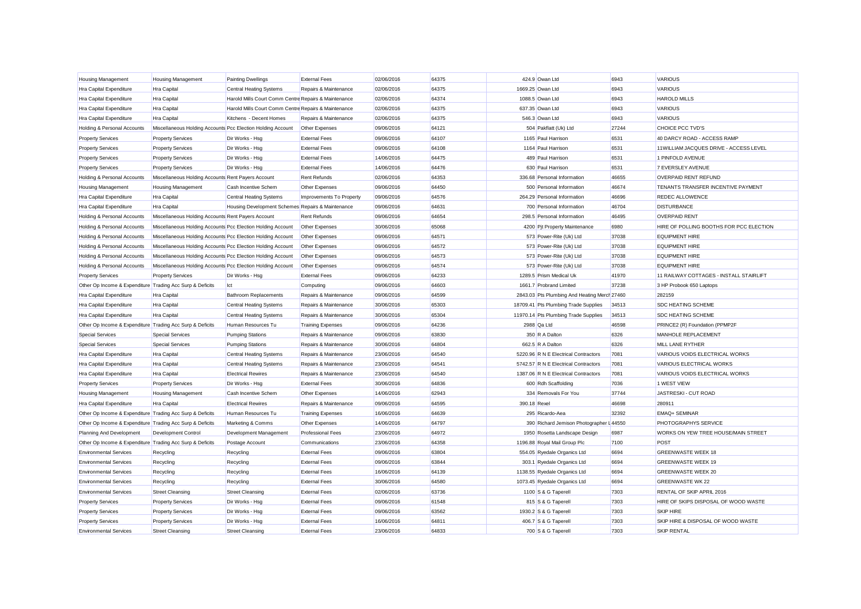| <b>Housing Management</b>                                 | <b>Housing Management</b>                                   | <b>Painting Dwellings</b>                            | <b>External Fees</b>     | 02/06/2016 | 64375 | 424.9 Owan Ltd                               | 6943  | <b>VARIOUS</b>                          |
|-----------------------------------------------------------|-------------------------------------------------------------|------------------------------------------------------|--------------------------|------------|-------|----------------------------------------------|-------|-----------------------------------------|
| Hra Capital Expenditure                                   | Hra Capital                                                 | <b>Central Heating Systems</b>                       | Repairs & Maintenance    | 02/06/2016 | 64375 | 1669.25 Owan Ltd                             | 6943  | <b>VARIOUS</b>                          |
| Hra Capital Expenditure                                   | <b>Hra Capital</b>                                          | Harold Mills Court Comm Centre Repairs & Maintenance |                          | 02/06/2016 | 64374 | 1088.5 Owan Ltd                              | 6943  | <b>HAROLD MILLS</b>                     |
| <b>Hra Capital Expenditure</b>                            | Hra Capital                                                 | Harold Mills Court Comm Centre Repairs & Maintenance |                          | 02/06/2016 | 64375 | 637.35 Owan Ltd                              | 6943  | <b>VARIOUS</b>                          |
| Hra Capital Expenditure                                   | <b>Hra Capital</b>                                          | Kitchens - Decent Homes                              | Repairs & Maintenance    | 02/06/2016 | 64375 | 546.3 Owan Ltd                               | 6943  | <b>VARIOUS</b>                          |
| Holding & Personal Accounts                               | Miscellaneous Holding Accounts Pcc Election Holding Account |                                                      | Other Expenses           | 09/06/2016 | 64121 | 504 Pakflatt (Uk) Ltd                        | 27244 | CHOICE PCC TVD'S                        |
| <b>Property Services</b>                                  | <b>Property Services</b>                                    | Dir Works - Hsg                                      | <b>External Fees</b>     | 09/06/2016 | 64107 | 1165 Paul Harrison                           | 6531  | 40 DARCY ROAD - ACCESS RAMP             |
| <b>Property Services</b>                                  | <b>Property Services</b>                                    | Dir Works - Hsg                                      | <b>External Fees</b>     | 09/06/2016 | 64108 | 1164 Paul Harrison                           | 6531  | 11 WILLIAM JACQUES DRIVE - ACCESS LEVEL |
| <b>Property Services</b>                                  | <b>Property Services</b>                                    | Dir Works - Hsg                                      | <b>External Fees</b>     | 14/06/2016 | 64475 | 489 Paul Harrison                            | 6531  | 1 PINFOLD AVENUE                        |
| <b>Property Services</b>                                  | <b>Property Services</b>                                    | Dir Works - Hsg                                      | <b>External Fees</b>     | 14/06/2016 | 64476 | 630 Paul Harrison                            | 6531  | 7 EVERSLEY AVENUE                       |
| Holding & Personal Accounts                               | Miscellaneous Holding Accounts Rent Payers Account          |                                                      | <b>Rent Refunds</b>      | 02/06/2016 | 64353 | 336.68 Personal Information                  | 46655 | <b>OVERPAID RENT REFUND</b>             |
| <b>Housing Management</b>                                 | <b>Housing Management</b>                                   | Cash Incentive Schem                                 | Other Expenses           | 09/06/2016 | 64450 | 500 Personal Information                     | 46674 | TENANTS TRANSFER INCENTIVE PAYMENT      |
| Hra Capital Expenditure                                   | <b>Hra Capital</b>                                          | <b>Central Heating Systems</b>                       | Improvements To Property | 09/06/2016 | 64576 | 264.29 Personal Information                  | 46696 | <b>REDEC ALLOWENCE</b>                  |
| <b>Hra Capital Expenditure</b>                            | <b>Hra Capital</b>                                          | Housing Development Schemes Repairs & Maintenance    |                          | 09/06/2016 | 64631 | 700 Personal Information                     | 46704 | <b>DISTURBANCE</b>                      |
| Holding & Personal Accounts                               | Miscellaneous Holding Accounts Rent Payers Account          |                                                      | <b>Rent Refunds</b>      | 09/06/2016 | 64654 | 298.5 Personal Information                   | 46495 | <b>OVERPAID RENT</b>                    |
| Holding & Personal Accounts                               | Miscellaneous Holding Accounts Pcc Election Holding Account |                                                      | Other Expenses           | 30/06/2016 | 65068 | 4200 Pit Property Maintenance                | 6980  | HIRE OF POLLING BOOTHS FOR PCC ELECTION |
| Holding & Personal Accounts                               | Miscellaneous Holding Accounts Pcc Election Holding Account |                                                      | Other Expenses           | 09/06/2016 | 64571 | 573 Power-Rite (Uk) Ltd                      | 37038 | <b>EQUIPMENT HIRE</b>                   |
| Holding & Personal Accounts                               | Miscellaneous Holding Accounts Pcc Election Holding Account |                                                      | Other Expenses           | 09/06/2016 | 64572 | 573 Power-Rite (Uk) Ltd                      | 37038 | <b>EQUIPMENT HIRE</b>                   |
| Holding & Personal Accounts                               | Miscellaneous Holding Accounts Pcc Election Holding Account |                                                      | Other Expenses           | 09/06/2016 | 64573 | 573 Power-Rite (Uk) Ltd                      | 37038 | <b>EQUIPMENT HIRE</b>                   |
| Holding & Personal Accounts                               | Miscellaneous Holding Accounts Pcc Election Holding Account |                                                      | Other Expenses           | 09/06/2016 | 64574 | 573 Power-Rite (Uk) Ltd                      | 37038 | <b>EQUIPMENT HIRE</b>                   |
| <b>Property Services</b>                                  | <b>Property Services</b>                                    | Dir Works - Hsg                                      | <b>External Fees</b>     | 09/06/2016 | 64233 | 1289.5 Prism Medical Uk                      | 41970 | 11 RAILWAY COTTAGES - INSTALL STAIRLIFT |
| Other Op Income & Expenditure Trading Acc Surp & Deficits |                                                             | Ict                                                  | Computing                | 09/06/2016 | 64603 | 1661.7 Probrand Limited                      | 37238 | 3 HP Probook 650 Laptops                |
| <b>Hra Capital Expenditure</b>                            | <b>Hra Capital</b>                                          | <b>Bathroom Replacements</b>                         | Repairs & Maintenance    | 09/06/2016 | 64599 | 2843.03 Pts Plumbing And Heating Merch 27460 |       | 282159                                  |
| Hra Capital Expenditure                                   | Hra Capital                                                 | <b>Central Heating Systems</b>                       | Repairs & Maintenance    | 30/06/2016 | 65303 | 18709.41 Pts Plumbing Trade Supplies         | 34513 | SDC HEATING SCHEME                      |
| Hra Capital Expenditure                                   | Hra Capital                                                 | <b>Central Heating Systems</b>                       | Repairs & Maintenance    | 30/06/2016 | 65304 | 11970.14 Pts Plumbing Trade Supplies         | 34513 | SDC HEATING SCHEME                      |
| Other Op Income & Expenditure Trading Acc Surp & Deficits |                                                             | Human Resources Tu                                   | <b>Training Expenses</b> | 09/06/2016 | 64236 | 2988 Qa Ltd                                  | 46598 | PRINCE2 (R) Foundation (PPMP2F          |
| <b>Special Services</b>                                   | <b>Special Services</b>                                     | <b>Pumping Stations</b>                              | Repairs & Maintenance    | 09/06/2016 | 63830 | 350 R A Dalton                               | 6326  | MANHOLE REPLACEMENT                     |
| <b>Special Services</b>                                   | <b>Special Services</b>                                     | <b>Pumping Stations</b>                              | Repairs & Maintenance    | 30/06/2016 | 64804 | 662.5 R A Dalton                             | 6326  | MILL LANE RYTHER                        |
| <b>Hra Capital Expenditure</b>                            | Hra Capital                                                 | <b>Central Heating Systems</b>                       | Repairs & Maintenance    | 23/06/2016 | 64540 | 5220.96 R N E Electrical Contractors         | 7081  | VARIOUS VOIDS ELECTRICAL WORKS          |
| Hra Capital Expenditure                                   | Hra Capital                                                 | Central Heating Systems                              | Repairs & Maintenance    | 23/06/2016 | 64541 | 5742.57 R N E Electrical Contractors         | 7081  | VARIOUS ELECTRICAL WORKS                |
| Hra Capital Expenditure                                   | <b>Hra Capital</b>                                          | <b>Electrical Rewires</b>                            | Repairs & Maintenance    | 23/06/2016 | 64540 | 1387.06 R N E Electrical Contractors         | 7081  | VARIOUS VOIDS ELECTRICAL WORKS          |
| <b>Property Services</b>                                  | <b>Property Services</b>                                    | Dir Works - Hsg                                      | <b>External Fees</b>     | 30/06/2016 | 64836 | 600 Rdh Scaffolding                          | 7036  | 1 WEST VIEW                             |
| <b>Housing Management</b>                                 | <b>Housing Management</b>                                   | Cash Incentive Schem                                 | Other Expenses           | 14/06/2016 | 62943 | 334 Removals For You                         | 37744 | JASTRESKI - CUT ROAD                    |
| <b>Hra Capital Expenditure</b>                            | <b>Hra Capital</b>                                          | <b>Electrical Rewires</b>                            | Repairs & Maintenance    | 09/06/2016 | 64595 | 390.18 Rexel                                 | 46698 | 280911                                  |
| Other Op Income & Expenditure Trading Acc Surp & Deficits |                                                             | Human Resources Tu                                   | <b>Training Expenses</b> | 16/06/2016 | 64639 | 295 Ricardo-Aea                              | 32392 | <b>EMAQ+ SEMINAR</b>                    |
| Other Op Income & Expenditure Trading Acc Surp & Deficits |                                                             | Marketing & Comms                                    | Other Expenses           | 14/06/2016 | 64797 | 390 Richard Jemison Photographer I 44550     |       | PHOTOGRAPHYS SERVICE                    |
| Planning And Development                                  | Development Control                                         | Development Management                               | <b>Professional Fees</b> | 23/06/2016 | 64972 | 1950 Rosetta Landscape Design                | 6987  | WORKS ON YEW TREE HOUSE/MAIN STREET     |
| Other Op Income & Expenditure Trading Acc Surp & Deficits |                                                             | Postage Account                                      | Communications           | 23/06/2016 | 64358 | 1196.88 Royal Mail Group Plc                 | 7100  | POST                                    |
| <b>Environmental Services</b>                             | Recycling                                                   | Recycling                                            | <b>External Fees</b>     | 09/06/2016 | 63804 | 554.05 Ryedale Organics Ltd                  | 6694  | <b>GREENWASTE WEEK 18</b>               |
| <b>Environmental Services</b>                             | Recycling                                                   | Recycling                                            | <b>External Fees</b>     | 09/06/2016 | 63844 | 303.1 Ryedale Organics Ltd                   | 6694  | <b>GREENWASTE WEEK 19</b>               |
| <b>Environmental Services</b>                             | Recycling                                                   | Recycling                                            | <b>External Fees</b>     | 16/06/2016 | 64139 | 1138.55 Ryedale Organics Ltd                 | 6694  | <b>GREENWASTE WEEK 20</b>               |
| <b>Environmental Services</b>                             | Recycling                                                   | Recycling                                            | <b>External Fees</b>     | 30/06/2016 | 64580 | 1073.45 Ryedale Organics Ltd                 | 6694  | <b>GREENWASTE WK 22</b>                 |
| <b>Environmental Services</b>                             | <b>Street Cleansing</b>                                     | <b>Street Cleansing</b>                              | <b>External Fees</b>     | 02/06/2016 | 63736 | 1100 S & G Taperell                          | 7303  | RENTAL OF SKIP APRIL 2016               |
| <b>Property Services</b>                                  | <b>Property Services</b>                                    | Dir Works - Hsg                                      | <b>External Fees</b>     | 09/06/2016 | 61548 | 815 S & G Taperell                           | 7303  | HIRE OF SKIPS DISPOSAL OF WOOD WASTE    |
| <b>Property Services</b>                                  | <b>Property Services</b>                                    | Dir Works - Hsg                                      | <b>External Fees</b>     | 09/06/2016 | 63562 | 1930.2 S & G Taperell                        | 7303  | <b>SKIP HIRE</b>                        |
| <b>Property Services</b>                                  | <b>Property Services</b>                                    | Dir Works - Hsg                                      | <b>External Fees</b>     | 16/06/2016 | 64811 | 406.7 S & G Taperell                         | 7303  | SKIP HIRE & DISPOSAL OF WOOD WASTE      |
| <b>Environmental Services</b>                             | <b>Street Cleansing</b>                                     | <b>Street Cleansing</b>                              | <b>External Fees</b>     | 23/06/2016 | 64833 | 700 S & G Taperell                           | 7303  | <b>SKIP RENTAL</b>                      |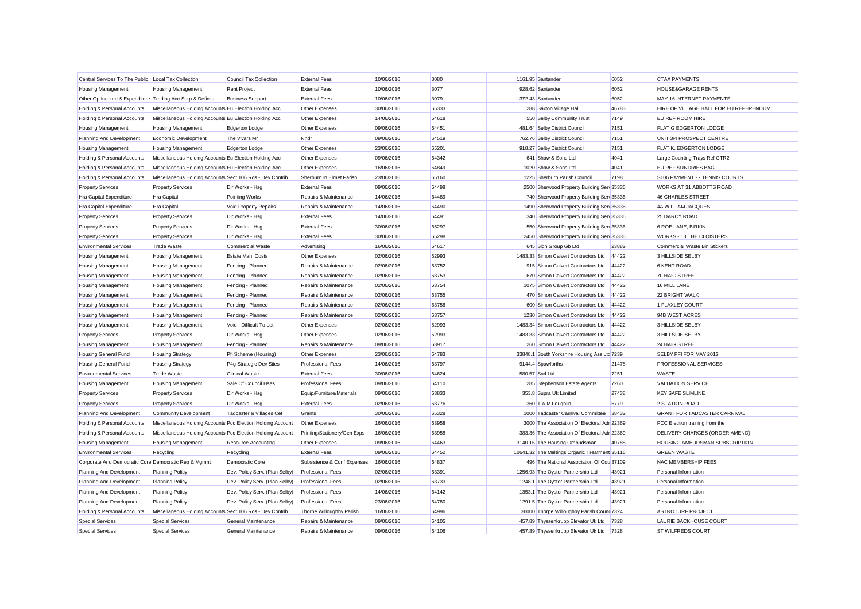| Central Services To The Public Local Tax Collection       |                                                             | Council Tax Collection         | <b>External Fees</b>         | 10/06/2016 | 3080  | 1161.95 Santander                             | 6052  | <b>CTAX PAYMENTS</b>                   |
|-----------------------------------------------------------|-------------------------------------------------------------|--------------------------------|------------------------------|------------|-------|-----------------------------------------------|-------|----------------------------------------|
| <b>Housing Management</b>                                 | <b>Housing Management</b>                                   | <b>Rent Project</b>            | <b>External Fees</b>         | 10/06/2016 | 3077  | 928.62 Santander                              | 6052  | <b>HOUSE&amp;GARAGE RENTS</b>          |
| Other Op Income & Expenditure Trading Acc Surp & Deficits |                                                             | <b>Business Support</b>        | <b>External Fees</b>         | 10/06/2016 | 3079  | 372.43 Santander                              | 6052  | MAY-16 INTERNET PAYMENTS               |
| Holding & Personal Accounts                               | Miscellaneous Holding Accounts Eu Election Holding Acc      |                                | Other Expenses               | 30/06/2016 | 65333 | 288 Saxton Village Hall                       | 46783 | HIRE OF VILLAGE HALL FOR EU REFERENDUM |
| Holding & Personal Accounts                               | Miscellaneous Holding Accounts Eu Election Holding Acc      |                                | Other Expenses               | 14/06/2016 | 64618 | 550 Selby Community Trust                     | 7149  | EU REF ROOM HIRE                       |
| <b>Housing Management</b>                                 | <b>Housing Management</b>                                   | <b>Edgerton Lodge</b>          | Other Expenses               | 09/06/2016 | 64451 | 481.64 Selby District Council                 | 7151  | FLAT G EDGERTON LODGE                  |
| Planning And Development                                  | Economic Development                                        | The Vivars Mr                  | Nndr                         | 09/06/2016 | 64519 | 762.76 Selby District Council                 | 7151  | UNIT 3/4 PROSPECT CENTRE               |
| <b>Housing Management</b>                                 | <b>Housing Management</b>                                   | Edgerton Lodge                 | Other Expenses               | 23/06/2016 | 65201 | 918.27 Selby District Council                 | 7151  | FLAT K. EDGERTON LODGE                 |
| Holding & Personal Accounts                               | Miscellaneous Holding Accounts Eu Election Holding Acc      |                                | Other Expenses               | 09/06/2016 | 64342 | 641 Shaw & Sons Ltd                           | 4041  | Large Counting Trays Ref CTR2          |
| Holding & Personal Accounts                               | Miscellaneous Holding Accounts Eu Election Holding Acc      |                                | Other Expenses               | 16/06/2016 | 64849 | 1020 Shaw & Sons Ltd                          | 4041  | EU REF SUNDRIES BAG                    |
| Holding & Personal Accounts                               | Miscellaneous Holding Accounts Sect 106 Ros - Dev Contrib   |                                | Sherburn In Elmet Parish     | 23/06/2016 | 65160 | 1225 Sherburn Parish Council                  | 7198  | S106 PAYMENTS - TENNIS COURTS          |
| <b>Property Services</b>                                  | <b>Property Services</b>                                    | Dir Works - Hsg                | <b>External Fees</b>         | 09/06/2016 | 64498 | 2500 Sherwood Property Building Sen 35336     |       | WORKS AT 31 ABBOTTS ROAD               |
| Hra Capital Expenditure                                   | <b>Hra Capital</b>                                          | Pointing Works                 | Repairs & Maintenance        | 14/06/2016 | 64489 | 740 Sherwood Property Building Serv 35336     |       | <b>46 CHARLES STREET</b>               |
| <b>Hra Capital Expenditure</b>                            | <b>Hra Capital</b>                                          | Void Property Repairs          | Repairs & Maintenance        | 14/06/2016 | 64490 | 1490 Sherwood Property Building Sen 35336     |       | 4A WILLIAM JACQUES                     |
| <b>Property Services</b>                                  | <b>Property Services</b>                                    | Dir Works - Hsg                | <b>External Fees</b>         | 14/06/2016 | 64491 | 340 Sherwood Property Building Serv 35336     |       | 25 DARCY ROAD                          |
| <b>Property Services</b>                                  | <b>Property Services</b>                                    | Dir Works - Hsg                | <b>External Fees</b>         | 30/06/2016 | 65297 | 550 Sherwood Property Building Serv 35336     |       | 6 ROE LANE, BIRKIN                     |
| <b>Property Services</b>                                  | <b>Property Services</b>                                    | Dir Works - Hsg                | <b>External Fees</b>         | 30/06/2016 | 65298 | 2450 Sherwood Property Building Serv 35336    |       | WORKS - 13 THE CLOISTERS               |
| <b>Environmental Services</b>                             | <b>Trade Waste</b>                                          | <b>Commercial Waste</b>        | Advertising                  | 16/06/2016 | 64617 | 645 Sign Group Gb Ltd                         | 23882 | <b>Commercial Waste Bin Stickers</b>   |
| <b>Housing Management</b>                                 | <b>Housing Management</b>                                   | Estate Man. Costs              | Other Expenses               | 02/06/2016 | 52993 | 1483.33 Simon Calvert Contractors Ltd         | 44422 | 3 HILLSIDE SELBY                       |
| <b>Housing Management</b>                                 | <b>Housing Management</b>                                   | Fencing - Planned              | Repairs & Maintenance        | 02/06/2016 | 63752 | 915 Simon Calvert Contractors Ltd             | 44422 | <b>6 KENT ROAD</b>                     |
| <b>Housing Management</b>                                 | <b>Housing Management</b>                                   | Fencing - Planned              | Repairs & Maintenance        | 02/06/2016 | 63753 | 670 Simon Calvert Contractors Ltd             | 44422 | 70 HAIG STREET                         |
| <b>Housing Management</b>                                 | <b>Housing Management</b>                                   | Fencing - Planned              | Repairs & Maintenance        | 02/06/2016 | 63754 | 1075 Simon Calvert Contractors Ltd            | 44422 | 16 MILL LANE                           |
| <b>Housing Management</b>                                 | <b>Housing Management</b>                                   | Fencing - Planned              | Repairs & Maintenance        | 02/06/2016 | 63755 | 470 Simon Calvert Contractors Ltd             | 44422 | 22 BRIGHT WALK                         |
| <b>Housing Management</b>                                 | <b>Housing Management</b>                                   | Fencing - Planned              | Repairs & Maintenance        | 02/06/2016 | 63756 | 600 Simon Calvert Contractors Ltd             | 44422 | 1 FLAXLEY COURT                        |
| <b>Housing Management</b>                                 | <b>Housing Management</b>                                   | Fencing - Planned              | Repairs & Maintenance        | 02/06/2016 | 63757 | 1230 Simon Calvert Contractors Ltd            | 44422 | 94B WEST ACRES                         |
| <b>Housing Management</b>                                 | <b>Housing Management</b>                                   | Void - Difficult To Let        | Other Expenses               | 02/06/2016 | 52993 | 1483.34 Simon Calvert Contractors Ltd         | 44422 | 3 HILLSIDE SELBY                       |
| <b>Property Services</b>                                  | <b>Property Services</b>                                    | Dir Works - Hsg                | Other Expenses               | 02/06/2016 | 52993 | 1483.33 Simon Calvert Contractors Ltd         | 44422 | 3 HILLSIDE SELBY                       |
| <b>Housing Management</b>                                 | <b>Housing Management</b>                                   | Fencing - Planned              | Repairs & Maintenance        | 09/06/2016 | 63917 | 260 Simon Calvert Contractors Ltd             | 44422 | 24 HAIG STREET                         |
| <b>Housing General Fund</b>                               | <b>Housing Strategy</b>                                     | Pfi Scheme (Housing)           | Other Expenses               | 23/06/2016 | 64783 | 33848.1 South Yorkshire Housing Ass Ltd 7239  |       | SELBY PFI FOR MAY 2016                 |
| <b>Housing General Fund</b>                               | <b>Housing Strategy</b>                                     | P4q Strategic Dev Sites        | <b>Professional Fees</b>     | 14/06/2016 | 63797 | 9144.4 Spawforths                             | 21478 | PROFESSIONAL SERVICES                  |
| <b>Environmental Services</b>                             | <b>Trade Waste</b>                                          | <b>Clinical Waste</b>          | <b>External Fees</b>         | 30/06/2016 | 64624 | 580.57 Srcl Ltd                               | 7251  | <b>WASTE</b>                           |
| <b>Housing Management</b>                                 | <b>Housing Management</b>                                   | Sale Of Council Hses           | <b>Professional Fees</b>     | 09/06/2016 | 64110 | 285 Stephenson Estate Agents                  | 7260  | <b>VALUATION SERVICE</b>               |
| <b>Property Services</b>                                  | <b>Property Services</b>                                    | Dir Works - Hsg                | Equip/Furniture/Materials    | 09/06/2016 | 63833 | 353.8 Supra Uk Limited                        | 27438 | <b>KEY SAFE SLIMLINE</b>               |
| <b>Property Services</b>                                  | <b>Property Services</b>                                    | Dir Works - Hsg                | <b>External Fees</b>         | 02/06/2016 | 63776 | 360 T A M Loughlin                            | 6779  | 2 STATION ROAD                         |
| Planning And Development                                  | <b>Community Development</b>                                | Tadcaster & Villages Cef       | Grants                       | 30/06/2016 | 65328 | 1000 Tadcaster Carnival Committee             | 38432 | <b>GRANT FOR TADCASTER CARNIVAL</b>    |
| Holding & Personal Accounts                               | Miscellaneous Holding Accounts Pcc Election Holding Account |                                | Other Expenses               | 16/06/2016 | 63958 | 3000 The Association Of Electoral Adr 22369   |       | PCC Election training from the         |
| Holding & Personal Accounts                               | Miscellaneous Holding Accounts Pcc Election Holding Account |                                | Printing/Stationery/Gen Exps | 16/06/2016 | 63958 | 383.36 The Association Of Electoral Adr 22369 |       | DELIVERY CHARGES (ORDER AMEND)         |
| <b>Housing Management</b>                                 | <b>Housing Management</b>                                   | Resource Accounting            | Other Expenses               | 09/06/2016 | 64463 | 3140.16 The Housing Ombudsman                 | 40788 | HOUSING AMBUDSMAN SUBSCRIPTION         |
| <b>Environmental Services</b>                             | Recycling                                                   | Recycling                      | <b>External Fees</b>         | 09/06/2016 | 64452 | 10641.32 The Maltings Organic Treatment 35116 |       | <b>GREEN WASTE</b>                     |
| Corporate And Democratic Core Democratic Rep & Mgmnt      |                                                             | Democratic Core                | Subsistence & Conf Expenses  | 16/06/2016 | 64837 | 496 The National Association Of Cou 37109     |       | NAC MEMBERSHIP FEES                    |
| Planning And Development                                  | <b>Planning Policy</b>                                      | Dev. Policy Serv. (Plan Selby) | <b>Professional Fees</b>     | 02/06/2016 | 63391 | 1256.93 The Oyster Partnership Ltd            | 43921 | Personal Information                   |
| Planning And Development                                  | <b>Planning Policy</b>                                      | Dev. Policy Serv. (Plan Selby) | <b>Professional Fees</b>     | 02/06/2016 | 63733 | 1248.1 The Oyster Partnership Ltd             | 43921 | Personal Information                   |
| Planning And Development                                  | <b>Planning Policy</b>                                      | Dev. Policy Serv. (Plan Selby) | <b>Professional Fees</b>     | 14/06/2016 | 64142 | 1353.1 The Oyster Partnership Ltd             | 43921 | Personal Information                   |
| Planning And Development                                  | <b>Planning Policy</b>                                      | Dev. Policy Serv. (Plan Selby) | <b>Professional Fees</b>     | 23/06/2016 | 64780 | 1291.5 The Oyster Partnership Ltd             | 43921 | Personal Information                   |
| Holding & Personal Accounts                               | Miscellaneous Holding Accounts Sect 106 Ros - Dev Contrib   |                                | Thorpe Willoughby Parish     | 16/06/2016 | 64996 | 36000 Thorpe Willoughby Parish Count 7324     |       | ASTROTURF PROJECT                      |
| <b>Special Services</b>                                   | <b>Special Services</b>                                     | General Maintenance            | Repairs & Maintenance        | 09/06/2016 | 64105 | 457.89 Thyssenkrupp Elevator Uk Ltd           | 7328  | LAURIE BACKHOUSE COURT                 |
| <b>Special Services</b>                                   | Special Services                                            | General Maintenance            | Repairs & Maintenance        | 09/06/2016 | 64106 | 457.89 Thyssenkrupp Elevator Uk Ltd           | 7328  | ST WILFREDS COURT                      |